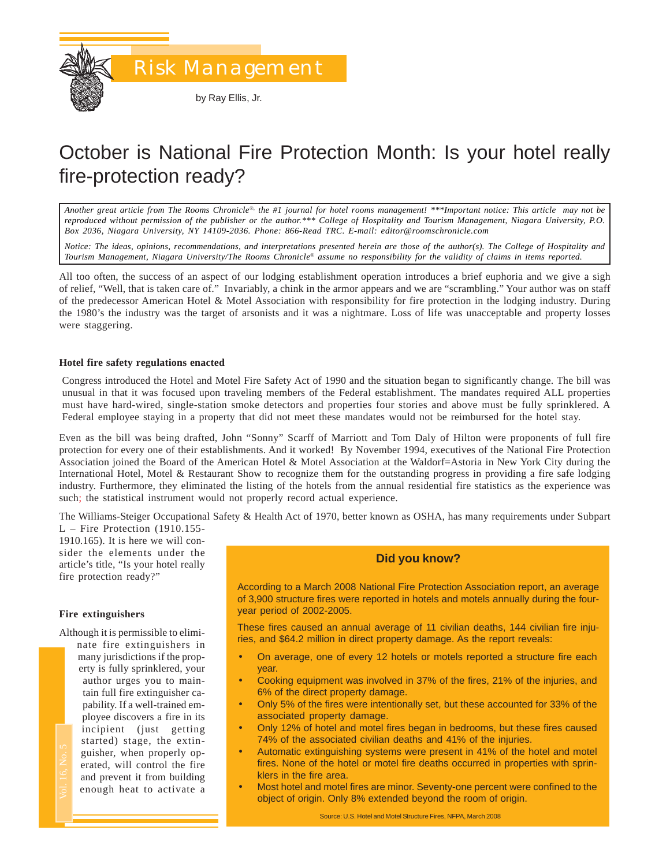by Ray Ellis, Jr.

# October is National Fire Protection Month: Is your hotel really fire-protection ready?

*Another great article from The Rooms Chronicle*®*, the #1 journal for hotel rooms management! \*\*\*Important notice: This article may not be reproduced without permission of the publisher or the author.\*\*\* College of Hospitality and Tourism Management, Niagara University, P.O. Box 2036, Niagara University, NY 14109-2036. Phone: 866-Read TRC. E-mail: editor@roomschronicle.com*

*Notice: The ideas, opinions, recommendations, and interpretations presented herein are those of the author(s). The College of Hospitality and Tourism Management, Niagara University/The Rooms Chronicle*® *assume no responsibility for the validity of claims in items reported.*

All too often, the success of an aspect of our lodging establishment operation introduces a brief euphoria and we give a sigh of relief, "Well, that is taken care of." Invariably, a chink in the armor appears and we are "scrambling." Your author was on staff of the predecessor American Hotel & Motel Association with responsibility for fire protection in the lodging industry. During the 1980's the industry was the target of arsonists and it was a nightmare. Loss of life was unacceptable and property losses were staggering.

#### **Hotel fire safety regulations enacted**

Congress introduced the Hotel and Motel Fire Safety Act of 1990 and the situation began to significantly change. The bill was unusual in that it was focused upon traveling members of the Federal establishment. The mandates required ALL properties must have hard-wired, single-station smoke detectors and properties four stories and above must be fully sprinklered. A Federal employee staying in a property that did not meet these mandates would not be reimbursed for the hotel stay.

Even as the bill was being drafted, John "Sonny" Scarff of Marriott and Tom Daly of Hilton were proponents of full fire protection for every one of their establishments. And it worked! By November 1994, executives of the National Fire Protection Association joined the Board of the American Hotel & Motel Association at the Waldorf=Astoria in New York City during the International Hotel, Motel & Restaurant Show to recognize them for the outstanding progress in providing a fire safe lodging industry. Furthermore, they eliminated the listing of the hotels from the annual residential fire statistics as the experience was such; the statistical instrument would not properly record actual experience.

The Williams-Steiger Occupational Safety & Health Act of 1970, better known as OSHA, has many requirements under Subpart L – Fire Protection (1910.155-

1910.165). It is here we will consider the elements under the article's title, "Is your hotel really fire protection ready?"

# **Fire extinguishers**

Although it is permissible to eliminate fire extinguishers in

uut<br>ain<br>blo<br>nc<br>ta<br>ui<br>ra<br>md<br>nc many jurisdictions if the property is fully sprinklered, your author urges you to maintain full fire extinguisher capability. If a well-trained employee discovers a fire in its incipient (just getting started) stage, the extinguisher, when properly operated, will control the fire and prevent it from building enough heat to activate a

# **Did you know?**

According to a March 2008 National Fire Protection Association report, an average of 3,900 structure fires were reported in hotels and motels annually during the fouryear period of 2002-2005.

These fires caused an annual average of 11 civilian deaths, 144 civilian fire injuries, and \$64.2 million in direct property damage. As the report reveals:

- On average, one of every 12 hotels or motels reported a structure fire each year.
- Cooking equipment was involved in 37% of the fires, 21% of the injuries, and 6% of the direct property damage.
- Only 5% of the fires were intentionally set, but these accounted for 33% of the associated property damage.
- Only 12% of hotel and motel fires began in bedrooms, but these fires caused 74% of the associated civilian deaths and 41% of the injuries.
- Automatic extinguishing systems were present in 41% of the hotel and motel fires. None of the hotel or motel fire deaths occurred in properties with sprinklers in the fire area.
- Most hotel and motel fires are minor. Seventy-one percent were confined to the object of origin. Only 8% extended beyond the room of origin.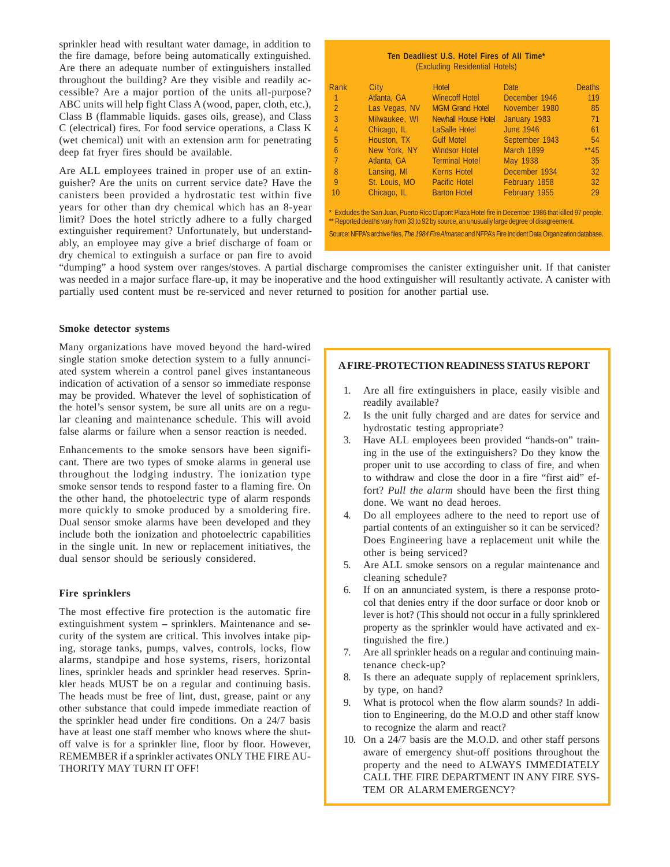sprinkler head with resultant water damage, in addition to the fire damage, before being automatically extinguished. Are there an adequate number of extinguishers installed throughout the building? Are they visible and readily accessible? Are a major portion of the units all-purpose? ABC units will help fight Class A (wood, paper, cloth, etc.), Class B (flammable liquids. gases oils, grease), and Class C (electrical) fires. For food service operations, a Class K (wet chemical) unit with an extension arm for penetrating deep fat fryer fires should be available.

Are ALL employees trained in proper use of an extinguisher? Are the units on current service date? Have the canisters been provided a hydrostatic test within five years for other than dry chemical which has an 8-year limit? Does the hotel strictly adhere to a fully charged extinguisher requirement? Unfortunately, but understandably, an employee may give a brief discharge of foam or dry chemical to extinguish a surface or pan fire to avoid

| Ten Deadliest U.S. Hotel Fires of All Time*<br>(Excluding Residential Hotels) |               |                            |               |               |  |  |  |
|-------------------------------------------------------------------------------|---------------|----------------------------|---------------|---------------|--|--|--|
| Rank                                                                          | City          | <b>Hotel</b>               | <b>Date</b>   | <b>Deaths</b> |  |  |  |
| $\overline{1}$                                                                | Atlanta, GA   | <b>Winecoff Hotel</b>      | December 1946 | 119           |  |  |  |
| $\mathbb{Z}$                                                                  | Las Vegas, NV | <b>MGM Grand Hotel</b>     | November 1980 | 85            |  |  |  |
| -3                                                                            | Milwaukee, WI | <b>Newhall House Hotel</b> | January 1983  | 71            |  |  |  |

| -2             | Las Vegas, NV | <b>MGM Grand Hotel</b>                                                                                                                                                                              | November 1980    | 85     |
|----------------|---------------|-----------------------------------------------------------------------------------------------------------------------------------------------------------------------------------------------------|------------------|--------|
| 3              | Milwaukee, WI | <b>Newhall House Hotel</b>                                                                                                                                                                          | January 1983     | 71     |
| $\overline{4}$ | Chicago, IL   | LaSalle Hotel                                                                                                                                                                                       | <b>June 1946</b> | 61     |
| 5              | Houston, TX   | <b>Gulf Motel</b>                                                                                                                                                                                   | September 1943   | 54     |
| 6              | New York, NY  | <b>Windsor Hotel</b>                                                                                                                                                                                | March 1899       | $**45$ |
| $\overline{7}$ | Atlanta, GA   | <b>Terminal Hotel</b>                                                                                                                                                                               | May 1938         | 35     |
| -8             | Lansing, MI   | <b>Kerns Hotel</b>                                                                                                                                                                                  | December 1934    | 32     |
| 9              | St. Louis, MO | <b>Pacific Hotel</b>                                                                                                                                                                                | February 1858    | 32     |
| 10             | Chicago, IL   | <b>Barton Hotel</b>                                                                                                                                                                                 | February 1955    | 29     |
|                |               | * Excludes the San Juan, Puerto Rico Dupont Plaza Hotel fire in December 1986 that killed 97 people.<br>** Reported deaths vary from 33 to 92 by source, an unusually large degree of disagreement. |                  |        |
|                |               | Source: NFPA's archive files, The 1984 Fire Almanac and NFPA's Fire Incident Data Organization database.                                                                                            |                  |        |

"dumping" a hood system over ranges/stoves. A partial discharge compromises the canister extinguisher unit. If that canister was needed in a major surface flare-up, it may be inoperative and the hood extinguisher will resultantly activate. A canister with partially used content must be re-serviced and never returned to position for another partial use.

#### **Smoke detector systems**

Many organizations have moved beyond the hard-wired single station smoke detection system to a fully annunciated system wherein a control panel gives instantaneous indication of activation of a sensor so immediate response may be provided. Whatever the level of sophistication of the hotel's sensor system, be sure all units are on a regular cleaning and maintenance schedule. This will avoid false alarms or failure when a sensor reaction is needed.

Enhancements to the smoke sensors have been significant. There are two types of smoke alarms in general use throughout the lodging industry. The ionization type smoke sensor tends to respond faster to a flaming fire. On the other hand, the photoelectric type of alarm responds more quickly to smoke produced by a smoldering fire. Dual sensor smoke alarms have been developed and they include both the ionization and photoelectric capabilities in the single unit. In new or replacement initiatives, the dual sensor should be seriously considered.

# **Fire sprinklers**

The most effective fire protection is the automatic fire extinguishment system **–** sprinklers. Maintenance and security of the system are critical. This involves intake piping, storage tanks, pumps, valves, controls, locks, flow alarms, standpipe and hose systems, risers, horizontal lines, sprinkler heads and sprinkler head reserves. Sprinkler heads MUST be on a regular and continuing basis. The heads must be free of lint, dust, grease, paint or any other substance that could impede immediate reaction of the sprinkler head under fire conditions. On a 24/7 basis have at least one staff member who knows where the shutoff valve is for a sprinkler line, floor by floor. However, REMEMBER if a sprinkler activates ONLY THE FIRE AU-THORITY MAY TURN IT OFF!

# **A FIRE-PROTECTION READINESS STATUS REPORT**

- 1. Are all fire extinguishers in place, easily visible and readily available?
- 2. Is the unit fully charged and are dates for service and hydrostatic testing appropriate?
- 3. Have ALL employees been provided "hands-on" training in the use of the extinguishers? Do they know the proper unit to use according to class of fire, and when to withdraw and close the door in a fire "first aid" effort? *Pull the alarm* should have been the first thing done. We want no dead heroes.
- 4. Do all employees adhere to the need to report use of partial contents of an extinguisher so it can be serviced? Does Engineering have a replacement unit while the other is being serviced?
- 5. Are ALL smoke sensors on a regular maintenance and cleaning schedule?
- 6. If on an annunciated system, is there a response protocol that denies entry if the door surface or door knob or lever is hot? (This should not occur in a fully sprinklered property as the sprinkler would have activated and extinguished the fire.)
- 7. Are all sprinkler heads on a regular and continuing maintenance check-up?
- 8. Is there an adequate supply of replacement sprinklers, by type, on hand?
- 9. What is protocol when the flow alarm sounds? In addition to Engineering, do the M.O.D and other staff know to recognize the alarm and react?
- 10. On a 24/7 basis are the M.O.D. and other staff persons aware of emergency shut-off positions throughout the property and the need to ALWAYS IMMEDIATELY CALL THE FIRE DEPARTMENT IN ANY FIRE SYS-TEM OR ALARM EMERGENCY?